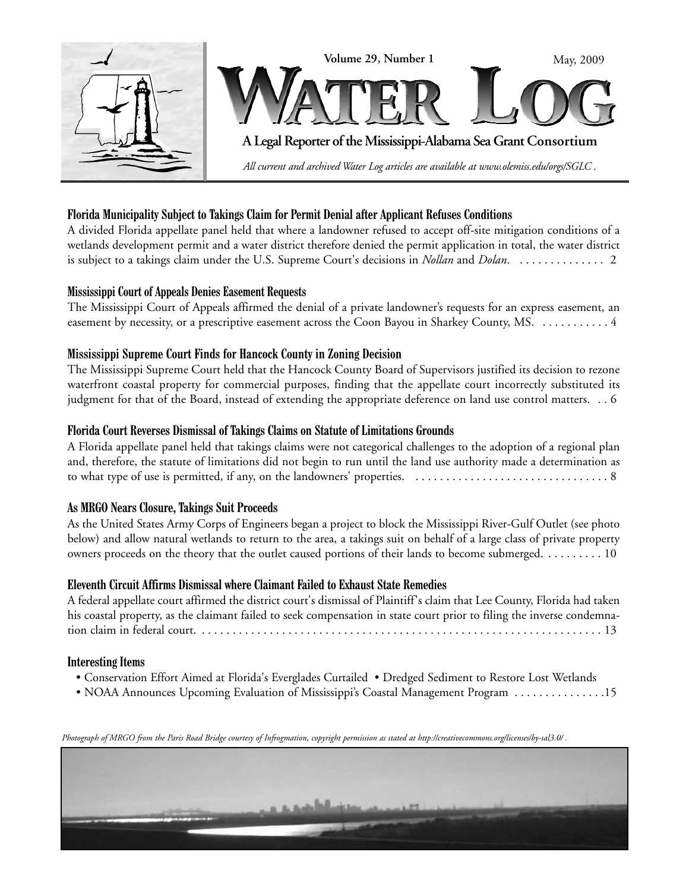



*All current and archived Water Log articles are available at www.olemiss.edu/orgs/SGLC .*

#### **Florida Municipality Subject to Takings Claim for Permit Denial after Applicant Refuses Conditions**

A divided Florida appellate panel held that where a landowner refused to accept off-site mitigation conditions of a wetlands development permit and a water district therefore denied the permit application in total, the water district is subject to a takings claim under the U.S. Supreme Court's decisions in *Nollan* and *Dolan*. . . . . . . . . . . . . . . 2

#### **Mississippi Court of Appeals Denies Easement Requests**

The Mississippi Court of Appeals affirmed the denial of a private landowner's requests for an express easement, an easement by necessity, or a prescriptive easement across the Coon Bayou in Sharkey County, MS. . . . . . . . . . . . 4

#### **Mississippi Supreme Court Finds for Hancock County in Zoning Decision**

The Mississippi Supreme Court held that the Hancock County Board of Supervisors justified its decision to rezone waterfront coastal property for commercial purposes, finding that the appellate court incorrectly substituted its judgment for that of the Board, instead of extending the appropriate deference on land use control matters. . . 6

#### **Florida Court Reverses Dismissal of Takings Claims on Statute of Limitations Grounds**

A Florida appellate panel held that takings claims were not categorical challenges to the adoption of a regional plan and, therefore, the statute of limitations did not begin to run until the land use authority made a determination as to what type of use is permitted, if any, on the landowners' properties. . . . . . . . . . . . . . . . . . . . . . . . . . . . . . . . . 8

#### **As MRGO Nears Closure, Takings Suit Proceeds**

As the United States Army Corps of Engineers began a project to block the Mississippi River-Gulf Outlet (see photo below) and allow natural wetlands to return to the area, a takings suit on behalf of a large class of private property owners proceeds on the theory that the outlet caused portions of their lands to become submerged. . . . . . . . . . 10

#### **Eleventh Circuit Affirms Dismissal where Claimant Failed to Exhaust State Remedies**

A federal appellate court affirmed the district court's dismissal of Plaintiff's claim that Lee County, Florida had taken his coastal property, as the claimant failed to seek compensation in state court prior to filing the inverse condemnation claim in federal court. . . . . . . . . . . . . . . . . . . . . . . . . . . . . . . . . . . . . . . . . . . . . . . . . . . . . . . . . . . . . . . . . . 13

#### **Interesting Items**

- Conservation Effort Aimed at Florida's Everglades Curtailed Dredged Sediment to Restore Lost Wetlands
- NOAA Announces Upcoming Evaluation of Mississippi's Coastal Management Program . . . . . . . . . . . . . . .15

*Photograph of MRGO from the Paris Road Bridge courtesy of Infrogmation, copyright permission as stated at http://creativecommons.org/licenses/by-sal3.0/ .*

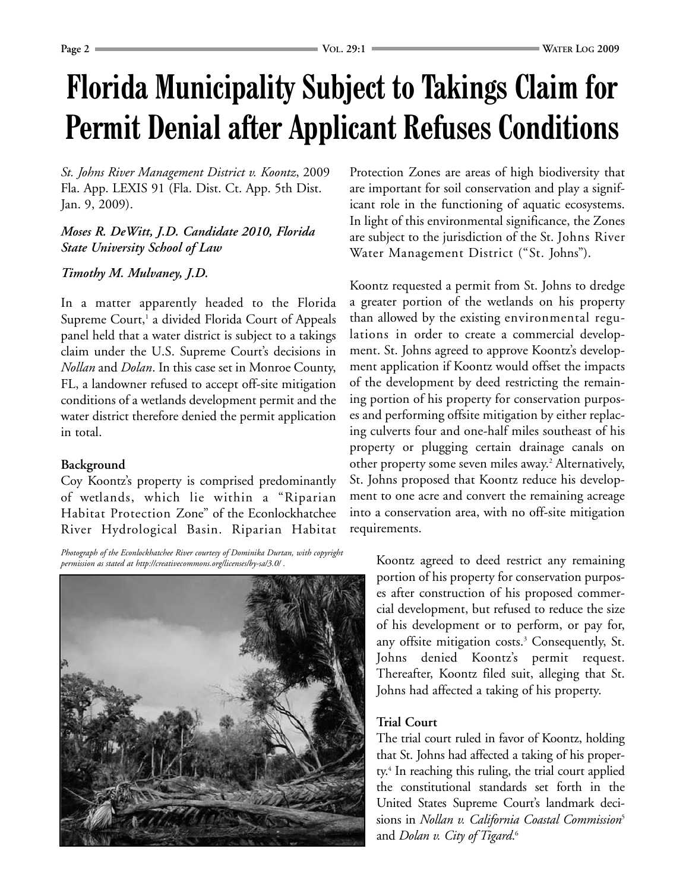# **Florida Municipality Subject to Takings Claim for Permit Denial after Applicant Refuses Conditions**

*St. Johns River Management District v. Koontz*, 2009 Fla. App. LEXIS 91 (Fla. Dist. Ct. App. 5th Dist. Jan. 9, 2009).

*Moses R. DeWitt, J.D. Candidate 2010, Florida State University School of Law*

*Timothy M. Mulvaney, J.D.*

In a matter apparently headed to the Florida Supreme Court,<sup>1</sup> a divided Florida Court of Appeals panel held that a water district is subject to a takings claim under the U.S. Supreme Court's decisions in *Nollan* and *Dolan*. In this case set in Monroe County, FL, a landowner refused to accept off-site mitigation conditions of a wetlands development permit and the water district therefore denied the permit application in total.

#### **Background**

Coy Koontz's property is comprised predominantly of wetlands, which lie within a "Riparian Habitat Protection Zone" of the Econlockhatchee River Hydrological Basin. Riparian Habitat

*Photograph of the Econlockhatchee River courtesy of Dominika Durtan, with copyright permission as stated at http://creativecommons.org/licenses/by-sa/3.0/ .*



Protection Zones are areas of high biodiversity that are important for soil conservation and play a significant role in the functioning of aquatic ecosystems. In light of this environmental significance, the Zones are subject to the jurisdiction of the St. Johns River Water Management District ("St. Johns").

Koontz requested a permit from St. Johns to dredge a greater portion of the wetlands on his property than allowed by the existing environmental regulations in order to create a commercial development. St. Johns agreed to approve Koontz's development application if Koontz would offset the impacts of the development by deed restricting the remaining portion of his property for conservation purposes and performing offsite mitigation by either replacing culverts four and one-half miles southeast of his property or plugging certain drainage canals on other property some seven miles away.<sup>2</sup> Alternatively, St. Johns proposed that Koontz reduce his development to one acre and convert the remaining acreage into a conservation area, with no off-site mitigation requirements.

Koontz agreed to deed restrict any remaining portion of his property for conservation purposes after construction of his proposed commercial development, but refused to reduce the size of his development or to perform, or pay for, any offsite mitigation costs. $3$  Consequently, St. Johns denied Koontz's permit request. Thereafter, Koontz filed suit, alleging that St. Johns had affected a taking of his property.

#### **Trial Court**

The trial court ruled in favor of Koontz, holding that St. Johns had affected a taking of his property.4 In reaching this ruling, the trial court applied the constitutional standards set forth in the United States Supreme Court's landmark decisions in *Nollan v. California Coastal Commission*<sup>5</sup> and *Dolan v. City of Tigard*. 6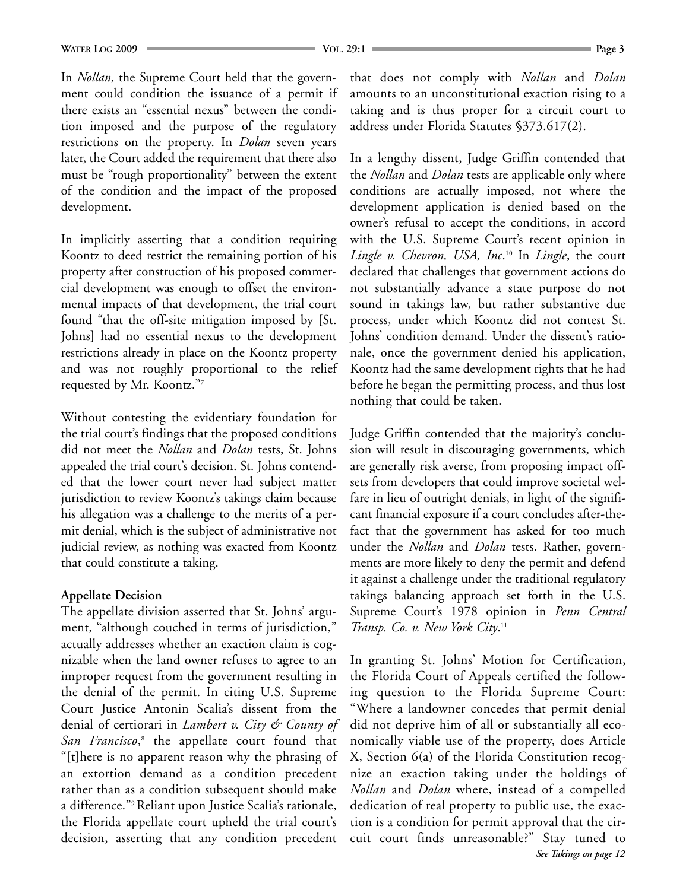In *Nollan*, the Supreme Court held that the government could condition the issuance of a permit if there exists an "essential nexus" between the condition imposed and the purpose of the regulatory restrictions on the property. In *Dolan* seven years later, the Court added the requirement that there also must be "rough proportionality" between the extent of the condition and the impact of the proposed development.

In implicitly asserting that a condition requiring Koontz to deed restrict the remaining portion of his property after construction of his proposed commercial development was enough to offset the environmental impacts of that development, the trial court found "that the off-site mitigation imposed by [St. Johns] had no essential nexus to the development restrictions already in place on the Koontz property and was not roughly proportional to the relief requested by Mr. Koontz."7

Without contesting the evidentiary foundation for the trial court's findings that the proposed conditions did not meet the *Nollan* and *Dolan* tests, St. Johns appealed the trial court's decision. St. Johns contended that the lower court never had subject matter jurisdiction to review Koontz's takings claim because his allegation was a challenge to the merits of a permit denial, which is the subject of administrative not judicial review, as nothing was exacted from Koontz that could constitute a taking.

#### **Appellate Decision**

The appellate division asserted that St. Johns' argument, "although couched in terms of jurisdiction," actually addresses whether an exaction claim is cognizable when the land owner refuses to agree to an improper request from the government resulting in the denial of the permit. In citing U.S. Supreme Court Justice Antonin Scalia's dissent from the denial of certiorari in *Lambert v. City & County of San Francisco*, <sup>8</sup> the appellate court found that "[t]here is no apparent reason why the phrasing of an extortion demand as a condition precedent rather than as a condition subsequent should make a difference."9 Reliant upon Justice Scalia's rationale, the Florida appellate court upheld the trial court's decision, asserting that any condition precedent

that does not comply with *Nollan* and *Dolan* amounts to an unconstitutional exaction rising to a taking and is thus proper for a circuit court to address under Florida Statutes §373.617(2).

In a lengthy dissent, Judge Griffin contended that the *Nollan* and *Dolan* tests are applicable only where conditions are actually imposed, not where the development application is denied based on the owner's refusal to accept the conditions, in accord with the U.S. Supreme Court's recent opinion in *Lingle v. Chevron, USA, Inc*. <sup>10</sup> In *Lingle*, the court declared that challenges that government actions do not substantially advance a state purpose do not sound in takings law, but rather substantive due process, under which Koontz did not contest St. Johns' condition demand. Under the dissent's rationale, once the government denied his application, Koontz had the same development rights that he had before he began the permitting process, and thus lost nothing that could be taken.

Judge Griffin contended that the majority's conclusion will result in discouraging governments, which are generally risk averse, from proposing impact offsets from developers that could improve societal welfare in lieu of outright denials, in light of the significant financial exposure if a court concludes after-thefact that the government has asked for too much under the *Nollan* and *Dolan* tests. Rather, governments are more likely to deny the permit and defend it against a challenge under the traditional regulatory takings balancing approach set forth in the U.S. Supreme Court's 1978 opinion in *Penn Central Transp. Co. v. New York City*. 11

In granting St. Johns' Motion for Certification, the Florida Court of Appeals certified the following question to the Florida Supreme Court: "Where a landowner concedes that permit denial did not deprive him of all or substantially all economically viable use of the property, does Article X, Section 6(a) of the Florida Constitution recognize an exaction taking under the holdings of *Nollan* and *Dolan* where, instead of a compelled dedication of real property to public use, the exaction is a condition for permit approval that the circuit court finds unreasonable?" Stay tuned to *See Takings on page 12*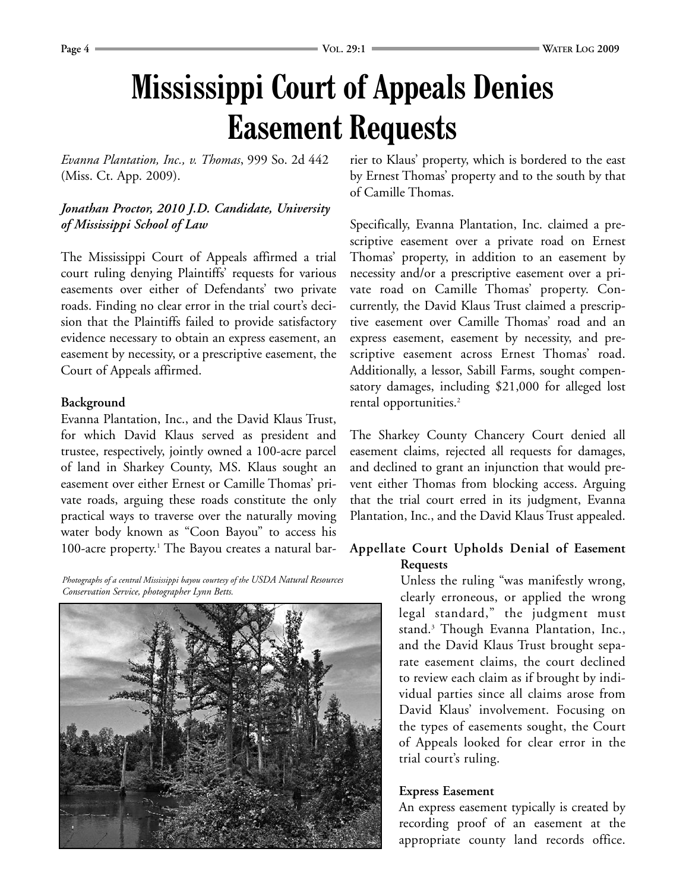# **Mississippi Court of Appeals Denies Easement Requests**

*Evanna Plantation, Inc., v. Thomas*, 999 So. 2d 442 (Miss. Ct. App. 2009).

#### *Jonathan Proctor, 2010 J.D. Candidate, University of Mississippi School of Law*

The Mississippi Court of Appeals affirmed a trial court ruling denying Plaintiffs' requests for various easements over either of Defendants' two private roads. Finding no clear error in the trial court's decision that the Plaintiffs failed to provide satisfactory evidence necessary to obtain an express easement, an easement by necessity, or a prescriptive easement, the Court of Appeals affirmed.

#### **Background**

Evanna Plantation, Inc., and the David Klaus Trust, for which David Klaus served as president and trustee, respectively, jointly owned a 100-acre parcel of land in Sharkey County, MS. Klaus sought an easement over either Ernest or Camille Thomas' private roads, arguing these roads constitute the only practical ways to traverse over the naturally moving water body known as "Coon Bayou" to access his 100-acre property.<sup>1</sup> The Bayou creates a natural bar-

*Photographs of a central Mississippi bayou courtesy of the USDA Natural Resources Conservation Service, photographer Lynn Betts.*



rier to Klaus' property, which is bordered to the east by Ernest Thomas' property and to the south by that of Camille Thomas.

Specifically, Evanna Plantation, Inc. claimed a prescriptive easement over a private road on Ernest Thomas' property, in addition to an easement by necessity and/or a prescriptive easement over a private road on Camille Thomas' property. Concurrently, the David Klaus Trust claimed a prescriptive easement over Camille Thomas' road and an express easement, easement by necessity, and prescriptive easement across Ernest Thomas' road. Additionally, a lessor, Sabill Farms, sought compensatory damages, including \$21,000 for alleged lost rental opportunities.<sup>2</sup>

The Sharkey County Chancery Court denied all easement claims, rejected all requests for damages, and declined to grant an injunction that would prevent either Thomas from blocking access. Arguing that the trial court erred in its judgment, Evanna Plantation, Inc., and the David Klaus Trust appealed.

#### **Appellate Court Upholds Denial of Easement Requests**

Unless the ruling "was manifestly wrong, clearly erroneous, or applied the wrong legal standard," the judgment must stand.3 Though Evanna Plantation, Inc., and the David Klaus Trust brought separate easement claims, the court declined to review each claim as if brought by individual parties since all claims arose from David Klaus' involvement. Focusing on the types of easements sought, the Court of Appeals looked for clear error in the trial court's ruling.

#### **Express Easement**

An express easement typically is created by recording proof of an easement at the appropriate county land records office.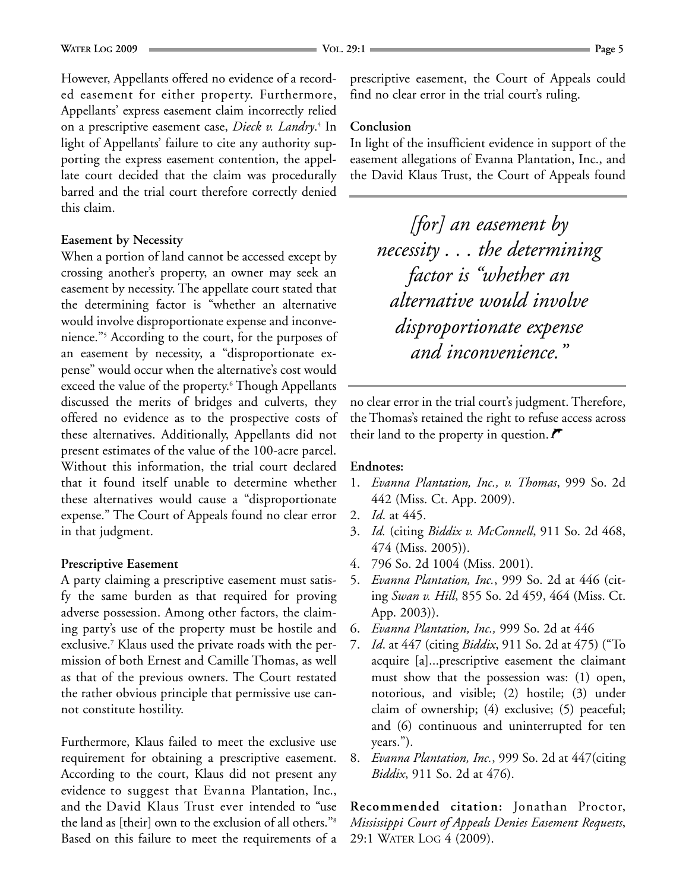However, Appellants offered no evidence of a recorded easement for either property. Furthermore, Appellants' express easement claim incorrectly relied on a prescriptive easement case, *Dieck v. Landry*. <sup>4</sup> In light of Appellants' failure to cite any authority supporting the express easement contention, the appellate court decided that the claim was procedurally barred and the trial court therefore correctly denied this claim.

#### **Easement by Necessity**

When a portion of land cannot be accessed except by crossing another's property, an owner may seek an easement by necessity. The appellate court stated that the determining factor is "whether an alternative would involve disproportionate expense and inconvenience."5 According to the court, for the purposes of an easement by necessity, a "disproportionate expense" would occur when the alternative's cost would exceed the value of the property.<sup>6</sup> Though Appellants discussed the merits of bridges and culverts, they offered no evidence as to the prospective costs of these alternatives. Additionally, Appellants did not present estimates of the value of the 100-acre parcel. Without this information, the trial court declared that it found itself unable to determine whether these alternatives would cause a "disproportionate expense." The Court of Appeals found no clear error in that judgment.

#### **Prescriptive Easement**

A party claiming a prescriptive easement must satisfy the same burden as that required for proving adverse possession. Among other factors, the claiming party's use of the property must be hostile and exclusive.7 Klaus used the private roads with the permission of both Ernest and Camille Thomas, as well as that of the previous owners. The Court restated the rather obvious principle that permissive use cannot constitute hostility.

Furthermore, Klaus failed to meet the exclusive use requirement for obtaining a prescriptive easement. According to the court, Klaus did not present any evidence to suggest that Evanna Plantation, Inc., and the David Klaus Trust ever intended to "use the land as [their] own to the exclusion of all others."8 Based on this failure to meet the requirements of a

prescriptive easement, the Court of Appeals could find no clear error in the trial court's ruling.

#### **Conclusion**

In light of the insufficient evidence in support of the easement allegations of Evanna Plantation, Inc., and the David Klaus Trust, the Court of Appeals found

*[for] an easement by necessity . . . the determining factor is "whether an alternative would involve disproportionate expense and inconvenience."*

no clear error in the trial court's judgment. Therefore, the Thomas's retained the right to refuse access across their land to the property in question.  $\boldsymbol{r}$ 

#### **Endnotes:**

- 1. *Evanna Plantation, Inc., v. Thomas*, 999 So. 2d 442 (Miss. Ct. App. 2009).
- 2. *Id*. at 445.
- 3. *Id.* (citing *Biddix v. McConnell*, 911 So. 2d 468, 474 (Miss. 2005)).
- 4. 796 So. 2d 1004 (Miss. 2001).
- 5. *Evanna Plantation, Inc.*, 999 So. 2d at 446 (citing *Swan v. Hill*, 855 So. 2d 459, 464 (Miss. Ct. App. 2003)).
- 6. *Evanna Plantation, Inc.,* 999 So. 2d at 446
- 7. *Id*. at 447 (citing *Biddix*, 911 So. 2d at 475) ("To acquire [a]...prescriptive easement the claimant must show that the possession was: (1) open, notorious, and visible; (2) hostile; (3) under claim of ownership; (4) exclusive; (5) peaceful; and (6) continuous and uninterrupted for ten years.").
- 8. *Evanna Plantation, Inc.*, 999 So. 2d at 447(citing *Biddix*, 911 So. 2d at 476).

**Recommended citation:** Jonathan Proctor, *Mississippi Court of Appeals Denies Easement Requests*, 29:1 WATER LOG 4 (2009).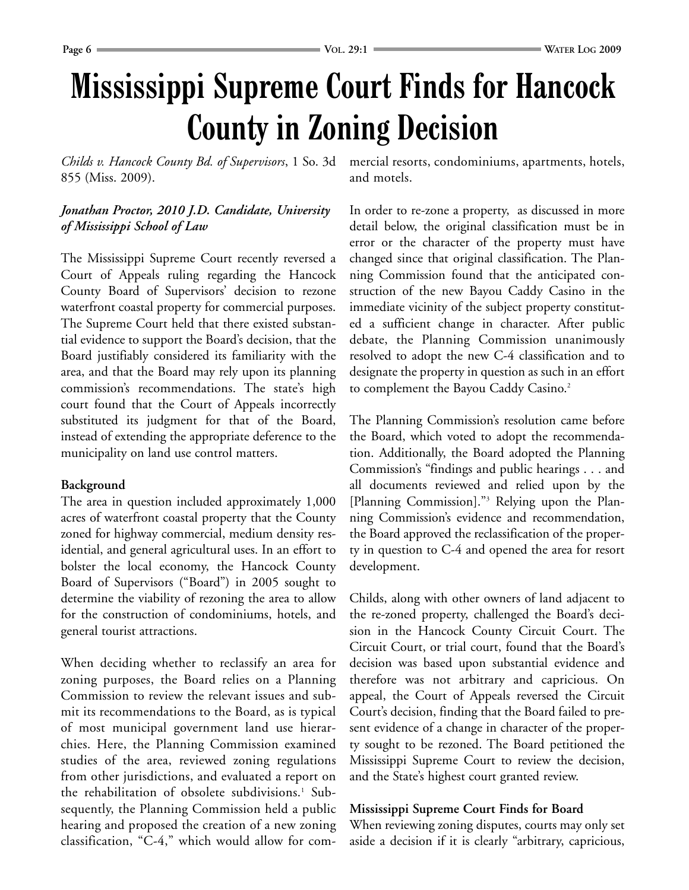# **Mississippi Supreme Court Finds for Hancock County in Zoning Decision**

*Childs v. Hancock County Bd. of Supervisors*, 1 So. 3d 855 (Miss. 2009).

#### *Jonathan Proctor, 2010 J.D. Candidate, University of Mississippi School of Law*

The Mississippi Supreme Court recently reversed a Court of Appeals ruling regarding the Hancock County Board of Supervisors' decision to rezone waterfront coastal property for commercial purposes. The Supreme Court held that there existed substantial evidence to support the Board's decision, that the Board justifiably considered its familiarity with the area, and that the Board may rely upon its planning commission's recommendations. The state's high court found that the Court of Appeals incorrectly substituted its judgment for that of the Board, instead of extending the appropriate deference to the municipality on land use control matters.

#### **Background**

The area in question included approximately 1,000 acres of waterfront coastal property that the County zoned for highway commercial, medium density residential, and general agricultural uses. In an effort to bolster the local economy, the Hancock County Board of Supervisors ("Board") in 2005 sought to determine the viability of rezoning the area to allow for the construction of condominiums, hotels, and general tourist attractions.

When deciding whether to reclassify an area for zoning purposes, the Board relies on a Planning Commission to review the relevant issues and submit its recommendations to the Board, as is typical of most municipal government land use hierarchies. Here, the Planning Commission examined studies of the area, reviewed zoning regulations from other jurisdictions, and evaluated a report on the rehabilitation of obsolete subdivisions.<sup>1</sup> Subsequently, the Planning Commission held a public hearing and proposed the creation of a new zoning classification, "C-4," which would allow for commercial resorts, condominiums, apartments, hotels, and motels.

In order to re-zone a property, as discussed in more detail below, the original classification must be in error or the character of the property must have changed since that original classification. The Planning Commission found that the anticipated construction of the new Bayou Caddy Casino in the immediate vicinity of the subject property constituted a sufficient change in character. After public debate, the Planning Commission unanimously resolved to adopt the new C-4 classification and to designate the property in question as such in an effort to complement the Bayou Caddy Casino.<sup>2</sup>

The Planning Commission's resolution came before the Board, which voted to adopt the recommendation. Additionally, the Board adopted the Planning Commission's "findings and public hearings . . . and all documents reviewed and relied upon by the [Planning Commission]."3 Relying upon the Planning Commission's evidence and recommendation, the Board approved the reclassification of the property in question to C-4 and opened the area for resort development.

Childs, along with other owners of land adjacent to the re-zoned property, challenged the Board's decision in the Hancock County Circuit Court. The Circuit Court, or trial court, found that the Board's decision was based upon substantial evidence and therefore was not arbitrary and capricious. On appeal, the Court of Appeals reversed the Circuit Court's decision, finding that the Board failed to present evidence of a change in character of the property sought to be rezoned. The Board petitioned the Mississippi Supreme Court to review the decision, and the State's highest court granted review.

#### **Mississippi Supreme Court Finds for Board**

When reviewing zoning disputes, courts may only set aside a decision if it is clearly "arbitrary, capricious,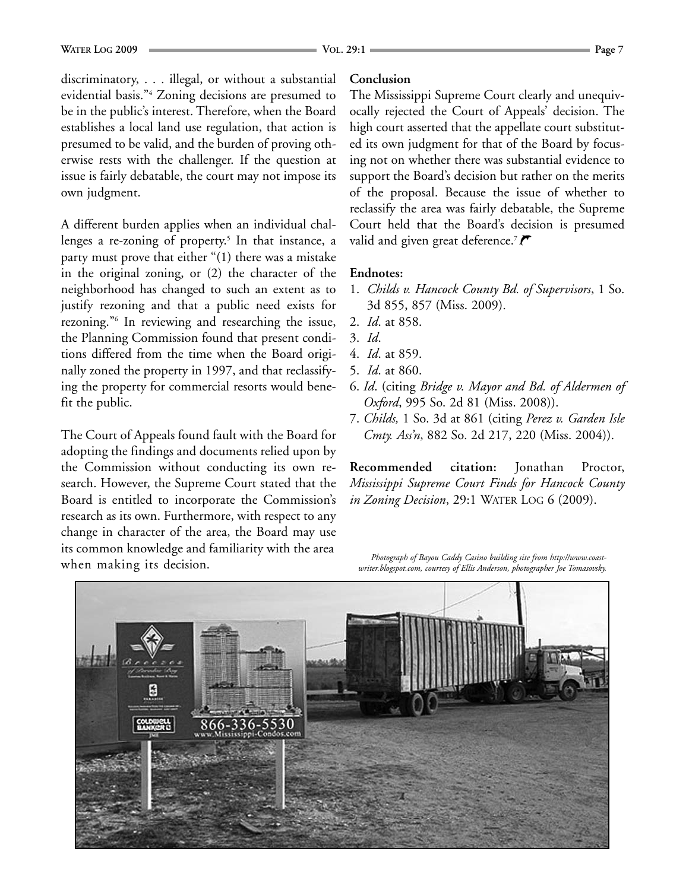discriminatory, . . . illegal, or without a substantial evidential basis."4 Zoning decisions are presumed to be in the public's interest. Therefore, when the Board establishes a local land use regulation, that action is presumed to be valid, and the burden of proving otherwise rests with the challenger. If the question at issue is fairly debatable, the court may not impose its own judgment.

A different burden applies when an individual challenges a re-zoning of property.<sup>5</sup> In that instance, a party must prove that either "(1) there was a mistake in the original zoning, or (2) the character of the neighborhood has changed to such an extent as to justify rezoning and that a public need exists for rezoning."6 In reviewing and researching the issue, the Planning Commission found that present conditions differed from the time when the Board originally zoned the property in 1997, and that reclassifying the property for commercial resorts would benefit the public.

The Court of Appeals found fault with the Board for adopting the findings and documents relied upon by the Commission without conducting its own research. However, the Supreme Court stated that the Board is entitled to incorporate the Commission's research as its own. Furthermore, with respect to any change in character of the area, the Board may use its common knowledge and familiarity with the area when making its decision.

#### **Conclusion**

The Mississippi Supreme Court clearly and unequivocally rejected the Court of Appeals' decision. The high court asserted that the appellate court substituted its own judgment for that of the Board by focusing not on whether there was substantial evidence to support the Board's decision but rather on the merits of the proposal. Because the issue of whether to reclassify the area was fairly debatable, the Supreme Court held that the Board's decision is presumed valid and given great deference.<sup>7</sup> $\blacktriangledown$ 

#### **Endnotes:**

- 1. *Childs v. Hancock County Bd. of Supervisors*, 1 So. 3d 855, 857 (Miss. 2009).
- 2. *Id*. at 858.
- 3. *Id*.
- 4. *Id*. at 859.
- 5. *Id*. at 860.
- 6. *Id*. (citing *Bridge v. Mayor and Bd. of Aldermen of Oxford*, 995 So. 2d 81 (Miss. 2008)).
- 7. *Childs,* 1 So. 3d at 861 (citing *Perez v. Garden Isle Cmty. Ass'n*, 882 So. 2d 217, 220 (Miss. 2004)).

**Recommended citation:** Jonathan Proctor, *Mississippi Supreme Court Finds for Hancock County in Zoning Decision*, 29:1 WATER LOG 6 (2009).

*Photograph of Bayou Caddy Casino building site from http://www.coastwriter.blogspot.com, courtesy of Ellis Anderson, photographer Joe Tomasovsky.*

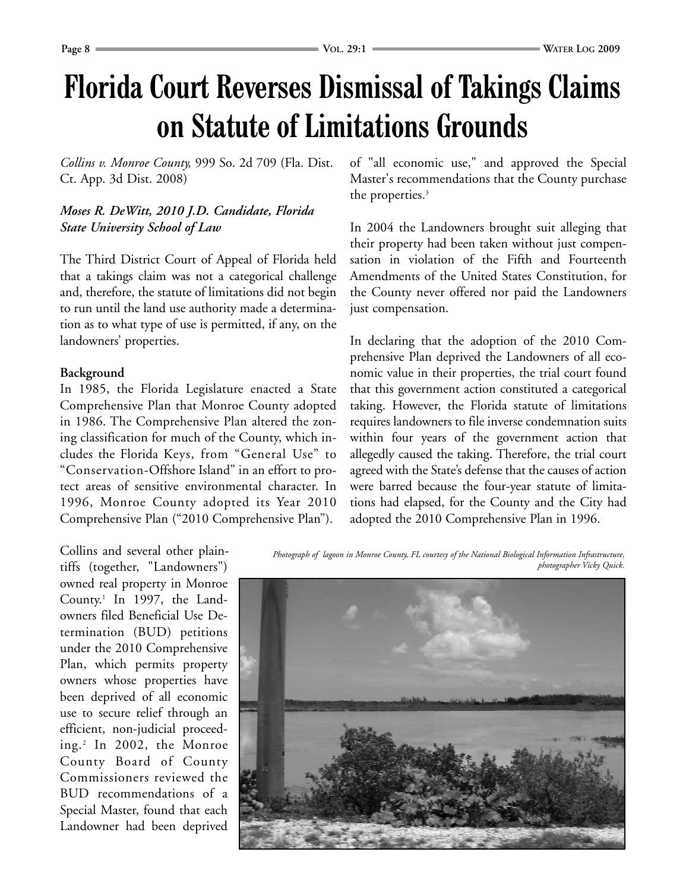# **Florida Court Reverses Dismissal of Takings Claims on Statute of Limitations Grounds**

*Collins v. Monroe County,* 999 So. 2d 709 (Fla. Dist. Ct. App. 3d Dist. 2008)

#### *Moses R. DeWitt, 2010 J.D. Candidate, Florida State University School of Law*

The Third District Court of Appeal of Florida held that a takings claim was not a categorical challenge and, therefore, the statute of limitations did not begin to run until the land use authority made a determination as to what type of use is permitted, if any, on the landowners' properties.

#### **Background**

In 1985, the Florida Legislature enacted a State Comprehensive Plan that Monroe County adopted in 1986. The Comprehensive Plan altered the zoning classification for much of the County, which includes the Florida Keys, from "General Use" to "Conservation-Offshore Island" in an effort to protect areas of sensitive environmental character. In 1996, Monroe County adopted its Year 2010 Comprehensive Plan ("2010 Comprehensive Plan").

Collins and several other plaintiffs (together, "Landowners") owned real property in Monroe County.<sup>1</sup> In 1997, the Landowners filed Beneficial Use Determination (BUD) petitions under the 2010 Comprehensive Plan, which permits property owners whose properties have been deprived of all economic use to secure relief through an efficient, non-judicial proceeding.2 In 2002, the Monroe County Board of County Commissioners reviewed the BUD recommendations of a Special Master, found that each Landowner had been deprived

of "all economic use," and approved the Special Master's recommendations that the County purchase the properties.<sup>3</sup>

In 2004 the Landowners brought suit alleging that their property had been taken without just compensation in violation of the Fifth and Fourteenth Amendments of the United States Constitution, for the County never offered nor paid the Landowners just compensation.

In declaring that the adoption of the 2010 Comprehensive Plan deprived the Landowners of all economic value in their properties, the trial court found that this government action constituted a categorical taking. However, the Florida statute of limitations requires landowners to file inverse condemnation suits within four years of the government action that allegedly caused the taking. Therefore, the trial court agreed with the State's defense that the causes of action were barred because the four-year statute of limitations had elapsed, for the County and the City had adopted the 2010 Comprehensive Plan in 1996.

*Photograph of lagoon in Monroe County, FL courtesy of the National Biological Information Infrastructure, photographer Vicky Quick.*

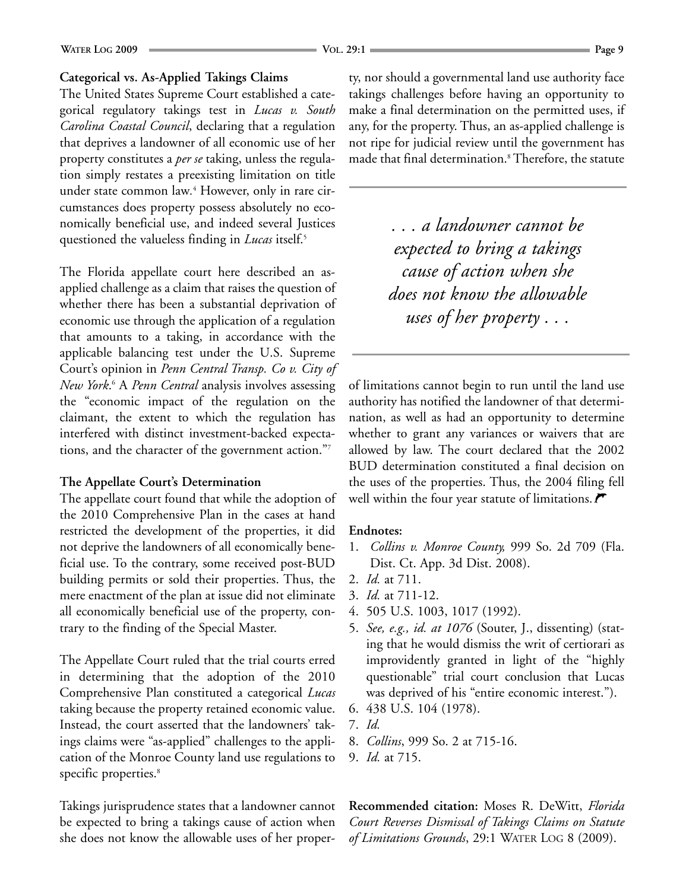#### **WATER** LOG 2009 – **Page 9 VOL. 29:1 COL. 29:1 Page 9 Page 9**

#### **Categorical vs. As-Applied Takings Claims**

The United States Supreme Court established a categorical regulatory takings test in *Lucas v. South Carolina Coastal Council*, declaring that a regulation that deprives a landowner of all economic use of her property constitutes a *per se* taking, unless the regulation simply restates a preexisting limitation on title under state common law*.* <sup>4</sup> However, only in rare circumstances does property possess absolutely no economically beneficial use, and indeed several Justices questioned the valueless finding in *Lucas* itself.<sup>5</sup>

The Florida appellate court here described an asapplied challenge as a claim that raises the question of whether there has been a substantial deprivation of economic use through the application of a regulation that amounts to a taking, in accordance with the applicable balancing test under the U.S. Supreme Court's opinion in *Penn Central Transp. Co v. City of New York*. <sup>6</sup> A *Penn Central* analysis involves assessing the "economic impact of the regulation on the claimant, the extent to which the regulation has interfered with distinct investment-backed expectations, and the character of the government action."7

#### **The Appellate Court's Determination**

The appellate court found that while the adoption of the 2010 Comprehensive Plan in the cases at hand restricted the development of the properties, it did not deprive the landowners of all economically beneficial use. To the contrary, some received post-BUD building permits or sold their properties. Thus, the mere enactment of the plan at issue did not eliminate all economically beneficial use of the property, contrary to the finding of the Special Master.

The Appellate Court ruled that the trial courts erred in determining that the adoption of the 2010 Comprehensive Plan constituted a categorical *Lucas* taking because the property retained economic value. Instead, the court asserted that the landowners' takings claims were "as-applied" challenges to the application of the Monroe County land use regulations to specific properties.<sup>8</sup>

Takings jurisprudence states that a landowner cannot be expected to bring a takings cause of action when she does not know the allowable uses of her property, nor should a governmental land use authority face takings challenges before having an opportunity to make a final determination on the permitted uses, if any, for the property. Thus, an as-applied challenge is not ripe for judicial review until the government has made that final determination.<sup>8</sup> Therefore, the statute

> *. . . a landowner cannot be expected to bring a takings cause of action when she does not know the allowable uses of her property . . .*

of limitations cannot begin to run until the land use authority has notified the landowner of that determination, as well as had an opportunity to determine whether to grant any variances or waivers that are allowed by law. The court declared that the 2002 BUD determination constituted a final decision on the uses of the properties. Thus, the 2004 filing fell well within the four year statute of limitations.

#### **Endnotes:**

- 1. *Collins v. Monroe County,* 999 So. 2d 709 (Fla. Dist. Ct. App. 3d Dist. 2008).
- 2. *Id.* at 711.
- 3. *Id.* at 711-12.
- 4. 505 U.S. 1003, 1017 (1992).
- 5. *See, e.g., id. at 1076* (Souter, J., dissenting) (stating that he would dismiss the writ of certiorari as improvidently granted in light of the "highly questionable" trial court conclusion that Lucas was deprived of his "entire economic interest.").
- 6. 438 U.S. 104 (1978).
- 7. *Id.*
- 8. *Collins*, 999 So. 2 at 715-16.
- 9. *Id.* at 715.

**Recommended citation:** Moses R. DeWitt, *Florida Court Reverses Dismissal of Takings Claims on Statute of Limitations Grounds*, 29:1 WATER LOG 8 (2009).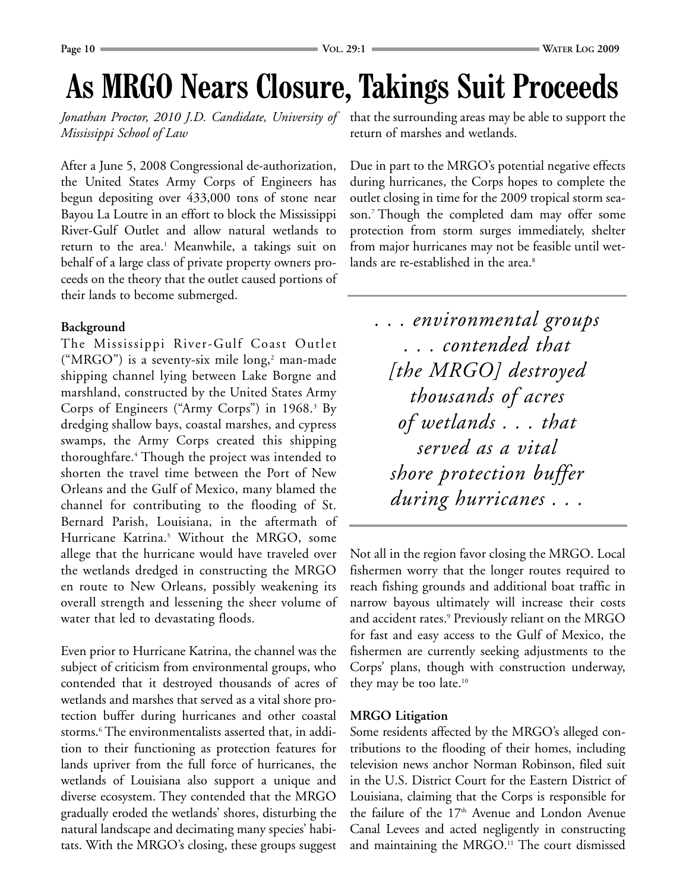### **As MRGO Nears Closure, Takings Suit Proceeds**

*Jonathan Proctor, 2010 J.D. Candidate, University of* that the surrounding areas may be able to support the *Mississippi School of Law*

After a June 5, 2008 Congressional de-authorization, the United States Army Corps of Engineers has begun depositing over 433,000 tons of stone near Bayou La Loutre in an effort to block the Mississippi River-Gulf Outlet and allow natural wetlands to return to the area.<sup>1</sup> Meanwhile, a takings suit on behalf of a large class of private property owners proceeds on the theory that the outlet caused portions of their lands to become submerged.

#### **Background**

The Mississippi River-Gulf Coast Outlet ("MRGO") is a seventy-six mile long, $2$  man-made shipping channel lying between Lake Borgne and marshland, constructed by the United States Army Corps of Engineers ("Army Corps") in 1968.<sup>3</sup> By dredging shallow bays, coastal marshes, and cypress swamps, the Army Corps created this shipping thoroughfare.4 Though the project was intended to shorten the travel time between the Port of New Orleans and the Gulf of Mexico, many blamed the channel for contributing to the flooding of St. Bernard Parish, Louisiana, in the aftermath of Hurricane Katrina.<sup>5</sup> Without the MRGO, some allege that the hurricane would have traveled over the wetlands dredged in constructing the MRGO en route to New Orleans, possibly weakening its overall strength and lessening the sheer volume of water that led to devastating floods.

Even prior to Hurricane Katrina, the channel was the subject of criticism from environmental groups, who contended that it destroyed thousands of acres of wetlands and marshes that served as a vital shore protection buffer during hurricanes and other coastal storms.6 The environmentalists asserted that, in addition to their functioning as protection features for lands upriver from the full force of hurricanes, the wetlands of Louisiana also support a unique and diverse ecosystem. They contended that the MRGO gradually eroded the wetlands' shores, disturbing the natural landscape and decimating many species' habitats. With the MRGO's closing, these groups suggest return of marshes and wetlands.

Due in part to the MRGO's potential negative effects during hurricanes, the Corps hopes to complete the outlet closing in time for the 2009 tropical storm season.7 Though the completed dam may offer some protection from storm surges immediately, shelter from major hurricanes may not be feasible until wetlands are re-established in the area.<sup>8</sup>

*. . . environmental groups . . . contended that [the MRGO] destroyed thousands of acres of wetlands . . . that served as a vital shore protection buffer during hurricanes . . .*

Not all in the region favor closing the MRGO. Local fishermen worry that the longer routes required to reach fishing grounds and additional boat traffic in narrow bayous ultimately will increase their costs and accident rates.<sup>9</sup> Previously reliant on the MRGO for fast and easy access to the Gulf of Mexico, the fishermen are currently seeking adjustments to the Corps' plans, though with construction underway, they may be too late.<sup>10</sup>

#### **MRGO Litigation**

Some residents affected by the MRGO's alleged contributions to the flooding of their homes, including television news anchor Norman Robinson, filed suit in the U.S. District Court for the Eastern District of Louisiana, claiming that the Corps is responsible for the failure of the 17<sup>th</sup> Avenue and London Avenue Canal Levees and acted negligently in constructing and maintaining the MRGO.<sup>11</sup> The court dismissed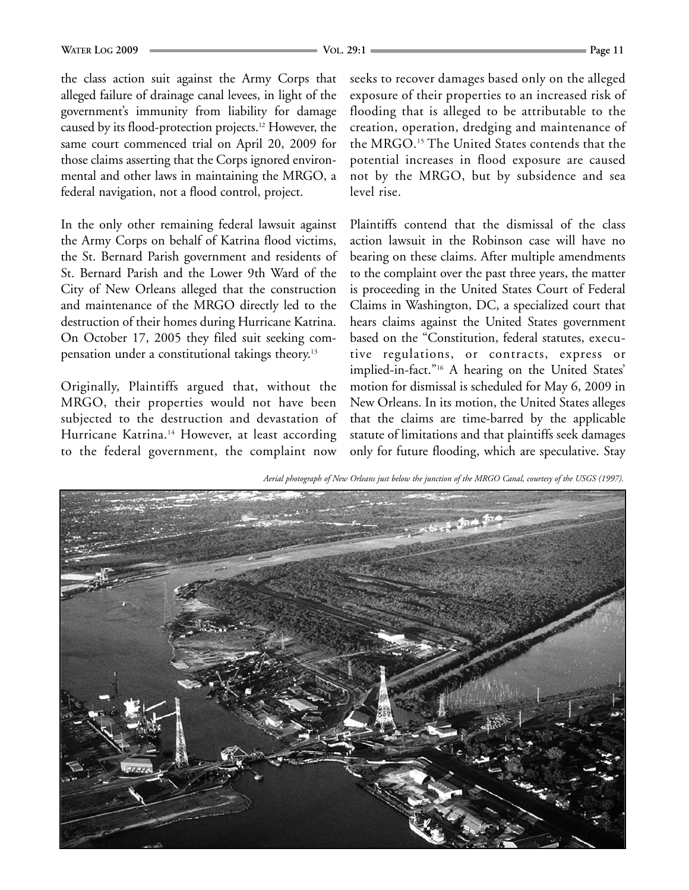the class action suit against the Army Corps that alleged failure of drainage canal levees, in light of the government's immunity from liability for damage caused by its flood-protection projects.12 However, the same court commenced trial on April 20, 2009 for those claims asserting that the Corps ignored environmental and other laws in maintaining the MRGO, a federal navigation, not a flood control, project.

In the only other remaining federal lawsuit against the Army Corps on behalf of Katrina flood victims, the St. Bernard Parish government and residents of St. Bernard Parish and the Lower 9th Ward of the City of New Orleans alleged that the construction and maintenance of the MRGO directly led to the destruction of their homes during Hurricane Katrina. On October 17, 2005 they filed suit seeking compensation under a constitutional takings theory.13

Originally, Plaintiffs argued that, without the MRGO, their properties would not have been subjected to the destruction and devastation of Hurricane Katrina.<sup>14</sup> However, at least according to the federal government, the complaint now seeks to recover damages based only on the alleged exposure of their properties to an increased risk of flooding that is alleged to be attributable to the creation, operation, dredging and maintenance of the MRGO.15 The United States contends that the potential increases in flood exposure are caused not by the MRGO, but by subsidence and sea level rise.

Plaintiffs contend that the dismissal of the class action lawsuit in the Robinson case will have no bearing on these claims. After multiple amendments to the complaint over the past three years, the matter is proceeding in the United States Court of Federal Claims in Washington, DC, a specialized court that hears claims against the United States government based on the "Constitution, federal statutes, executive regulations, or contracts, express or implied-in-fact."16 A hearing on the United States' motion for dismissal is scheduled for May 6, 2009 in New Orleans. In its motion, the United States alleges that the claims are time-barred by the applicable statute of limitations and that plaintiffs seek damages only for future flooding, which are speculative. Stay

*Aerial photograph of New Orleans just below the junction of the MRGO Canal, courtesy of the USGS (1997).*

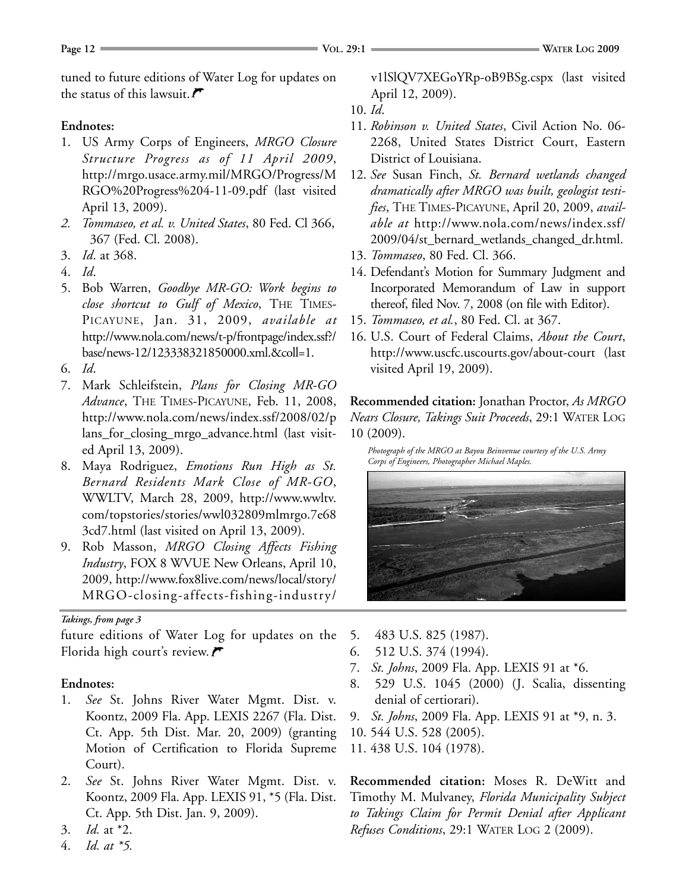tuned to future editions of Water Log for updates on the status of this lawsuit.

#### **Endnotes:**

- 1. US Army Corps of Engineers, *MRGO Closure Structure Progress as of 11 April 2009*, http://mrgo.usace.army.mil/MRGO/Progress/M RGO%20Progress%204-11-09.pdf (last visited April 13, 2009).
- *2. Tommaseo, et al. v. United States*, 80 Fed. Cl 366, 367 (Fed. Cl. 2008).
- 3. *Id*. at 368.
- 4. *Id*.
- 5. Bob Warren, *Goodbye MR-GO: Work begins to close shortcut to Gulf of Mexico*, THE TIMES-PICAYUNE, Jan. 31, 2009, *available at* http://www.nola.com/news/t-p/frontpage/index.ssf?/ base/news-12/123338321850000.xml.&coll=1.
- 6. *Id*.
- 7. Mark Schleifstein, *Plans for Closing MR-GO Advance*, THE TIMES-PICAYUNE, Feb. 11, 2008, http://www.nola.com/news/index.ssf/2008/02/p lans\_for\_closing\_mrgo\_advance.html (last visited April 13, 2009).
- 8. Maya Rodriguez, *Emotions Run High as St. Bernard Residents Mark Close of MR-GO*, WWLTV, March 28, 2009, http://www.wwltv. com/topstories/stories/wwl032809mlmrgo.7e68 3cd7.html (last visited on April 13, 2009).
- 9. Rob Masson, *MRGO Closing Affects Fishing Industry*, FOX 8 WVUE New Orleans, April 10, 2009, http://www.fox8live.com/news/local/story/ MRGO-closing-affects-fishing-industry/

#### *Takings, from page 3*

future editions of Water Log for updates on the Florida high court's review.  $\blacktriangledown$ 

#### **Endnotes:**

- 1. *See* St. Johns River Water Mgmt. Dist. v. Koontz, 2009 Fla. App. LEXIS 2267 (Fla. Dist. Ct. App. 5th Dist. Mar. 20, 2009) (granting Motion of Certification to Florida Supreme Court).
- 2. *See* St. Johns River Water Mgmt. Dist. v. Koontz, 2009 Fla. App. LEXIS 91, \*5 (Fla. Dist. Ct. App. 5th Dist. Jan. 9, 2009).
- 3. *Id.* at \*2.
- 4. *Id. at \*5.*

v1lSlQV7XEGoYRp-oB9BSg.cspx (last visited April 12, 2009).

- 10. *Id*.
- 11. *Robinson v. United States*, Civil Action No. 06- 2268, United States District Court, Eastern District of Louisiana.
- 12. *See* Susan Finch, *St. Bernard wetlands changed dramatically after MRGO was built, geologist testifies*, THE TIMES-PICAYUNE, April 20, 2009, *available at* http://www.nola.com/news/index.ssf/ 2009/04/st\_bernard\_wetlands\_changed\_dr.html.
- 13. *Tommaseo*, 80 Fed. Cl. 366.
- 14. Defendant's Motion for Summary Judgment and Incorporated Memorandum of Law in support thereof, filed Nov. 7, 2008 (on file with Editor).
- 15. *Tommaseo, et al.*, 80 Fed. Cl. at 367.
- 16. U.S. Court of Federal Claims, *About the Court*, http://www.uscfc.uscourts.gov/about-court (last visited April 19, 2009).

**Recommended citation:** Jonathan Proctor, *As MRGO Nears Closure, Takings Suit Proceeds*, 29:1 WATER LOG 10 (2009).

*Photograph of the MRGO at Bayou Beinvenue courtesy of the U.S. Army Corps of Engineers, Photographer Michael Maples.*



- 5. 483 U.S. 825 (1987).
- 6. 512 U.S. 374 (1994).
- 7. *St. Johns*, 2009 Fla. App. LEXIS 91 at \*6.
- 8. 529 U.S. 1045 (2000) (J. Scalia, dissenting denial of certiorari).
- 9. *St. Johns*, 2009 Fla. App. LEXIS 91 at \*9, n. 3.
- 10. 544 U.S. 528 (2005).
- 11. 438 U.S. 104 (1978).

**Recommended citation:** Moses R. DeWitt and Timothy M. Mulvaney, *Florida Municipality Subject to Takings Claim for Permit Denial after Applicant Refuses Conditions*, 29:1 WATER LOG 2 (2009).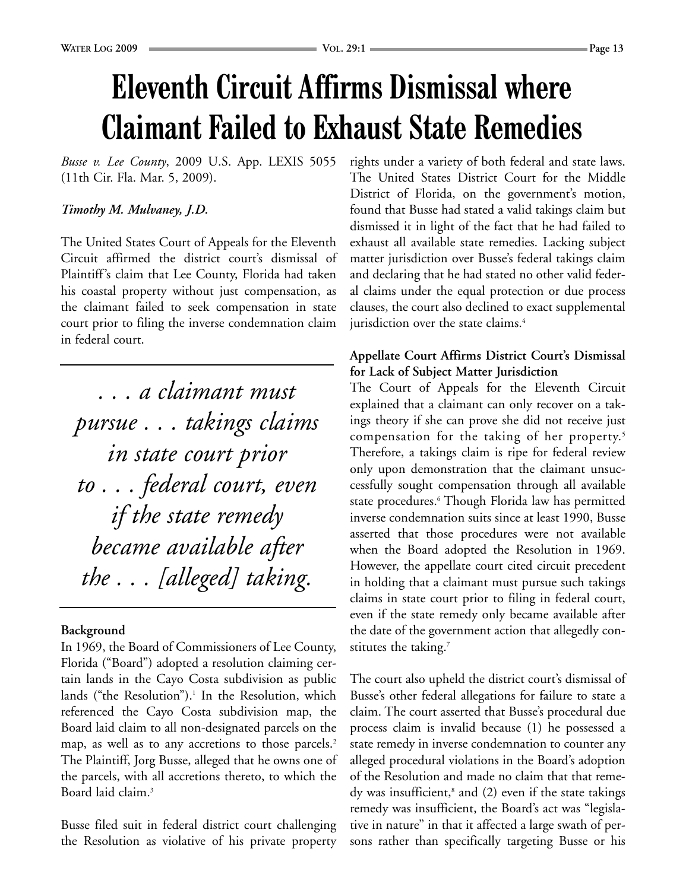*Busse v. Lee County*, 2009 U.S. App. LEXIS 5055 (11th Cir. Fla. Mar. 5, 2009).

#### *Timothy M. Mulvaney, J.D.*

The United States Court of Appeals for the Eleventh Circuit affirmed the district court's dismissal of Plaintiff's claim that Lee County, Florida had taken his coastal property without just compensation, as the claimant failed to seek compensation in state court prior to filing the inverse condemnation claim in federal court.

*. . . a claimant must pursue . . . takings claims in state court prior to . . . federal court, even if the state remedy became available after the . . . [alleged] taking.*

#### **Background**

In 1969, the Board of Commissioners of Lee County, Florida ("Board") adopted a resolution claiming certain lands in the Cayo Costa subdivision as public lands ("the Resolution").<sup>1</sup> In the Resolution, which referenced the Cayo Costa subdivision map, the Board laid claim to all non-designated parcels on the map, as well as to any accretions to those parcels.<sup>2</sup> The Plaintiff, Jorg Busse, alleged that he owns one of the parcels, with all accretions thereto, to which the Board laid claim.<sup>3</sup>

Busse filed suit in federal district court challenging the Resolution as violative of his private property rights under a variety of both federal and state laws. The United States District Court for the Middle District of Florida, on the government's motion, found that Busse had stated a valid takings claim but dismissed it in light of the fact that he had failed to exhaust all available state remedies. Lacking subject matter jurisdiction over Busse's federal takings claim and declaring that he had stated no other valid federal claims under the equal protection or due process clauses, the court also declined to exact supplemental jurisdiction over the state claims.<sup>4</sup>

#### **Appellate Court Affirms District Court's Dismissal for Lack of Subject Matter Jurisdiction**

The Court of Appeals for the Eleventh Circuit explained that a claimant can only recover on a takings theory if she can prove she did not receive just compensation for the taking of her property.5 Therefore, a takings claim is ripe for federal review only upon demonstration that the claimant unsuccessfully sought compensation through all available state procedures.<sup>6</sup> Though Florida law has permitted inverse condemnation suits since at least 1990, Busse asserted that those procedures were not available when the Board adopted the Resolution in 1969. However, the appellate court cited circuit precedent in holding that a claimant must pursue such takings claims in state court prior to filing in federal court, even if the state remedy only became available after the date of the government action that allegedly constitutes the taking.<sup>7</sup>

The court also upheld the district court's dismissal of Busse's other federal allegations for failure to state a claim. The court asserted that Busse's procedural due process claim is invalid because (1) he possessed a state remedy in inverse condemnation to counter any alleged procedural violations in the Board's adoption of the Resolution and made no claim that that remedy was insufficient,<sup>8</sup> and (2) even if the state takings remedy was insufficient, the Board's act was "legislative in nature" in that it affected a large swath of persons rather than specifically targeting Busse or his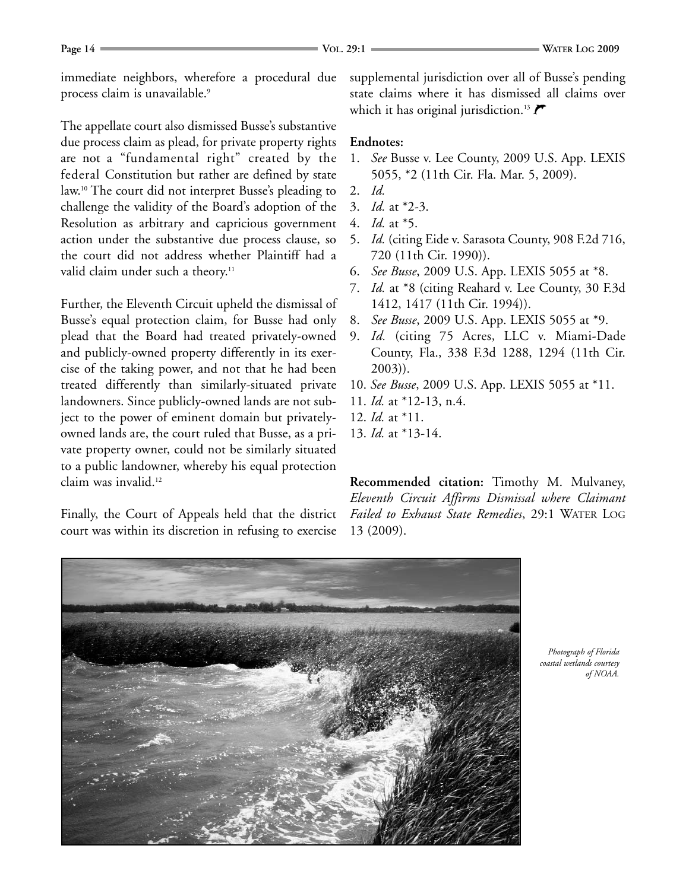immediate neighbors, wherefore a procedural due process claim is unavailable.<sup>9</sup>

The appellate court also dismissed Busse's substantive due process claim as plead, for private property rights are not a "fundamental right" created by the federal Constitution but rather are defined by state law.10 The court did not interpret Busse's pleading to challenge the validity of the Board's adoption of the Resolution as arbitrary and capricious government action under the substantive due process clause, so the court did not address whether Plaintiff had a valid claim under such a theory.<sup>11</sup>

Further, the Eleventh Circuit upheld the dismissal of Busse's equal protection claim, for Busse had only plead that the Board had treated privately-owned and publicly-owned property differently in its exercise of the taking power, and not that he had been treated differently than similarly-situated private landowners. Since publicly-owned lands are not subject to the power of eminent domain but privatelyowned lands are, the court ruled that Busse, as a private property owner, could not be similarly situated to a public landowner, whereby his equal protection claim was invalid.<sup>12</sup>

Finally, the Court of Appeals held that the district court was within its discretion in refusing to exercise supplemental jurisdiction over all of Busse's pending state claims where it has dismissed all claims over which it has original jurisdiction.<sup>13</sup>

#### **Endnotes:**

- 1. *See* Busse v. Lee County, 2009 U.S. App. LEXIS 5055, \*2 (11th Cir. Fla. Mar. 5, 2009).
- 2. *Id.*
- 3. *Id.* at \*2-3.
- 4. *Id.* at \*5.
- 5. *Id.* (citing Eide v. Sarasota County, 908 F.2d 716, 720 (11th Cir. 1990)).
- 6. *See Busse*, 2009 U.S. App. LEXIS 5055 at \*8.
- 7. *Id.* at \*8 (citing Reahard v. Lee County, 30 F.3d 1412, 1417 (11th Cir. 1994)).
- 8. *See Busse*, 2009 U.S. App. LEXIS 5055 at \*9.
- 9. *Id.* (citing 75 Acres, LLC v. Miami-Dade County, Fla., 338 F.3d 1288, 1294 (11th Cir. 2003)).
- 10. *See Busse*, 2009 U.S. App. LEXIS 5055 at \*11.
- 11. *Id.* at \*12-13, n.4.
- 12. *Id.* at \*11.
- 13. *Id.* at \*13-14.

**Recommended citation:** Timothy M. Mulvaney, *Eleventh Circuit Affirms Dismissal where Claimant Failed to Exhaust State Remedies*, 29:1 WATER LOG 13 (2009).



*Photograph of Florida coastal wetlands courtesy of NOAA.*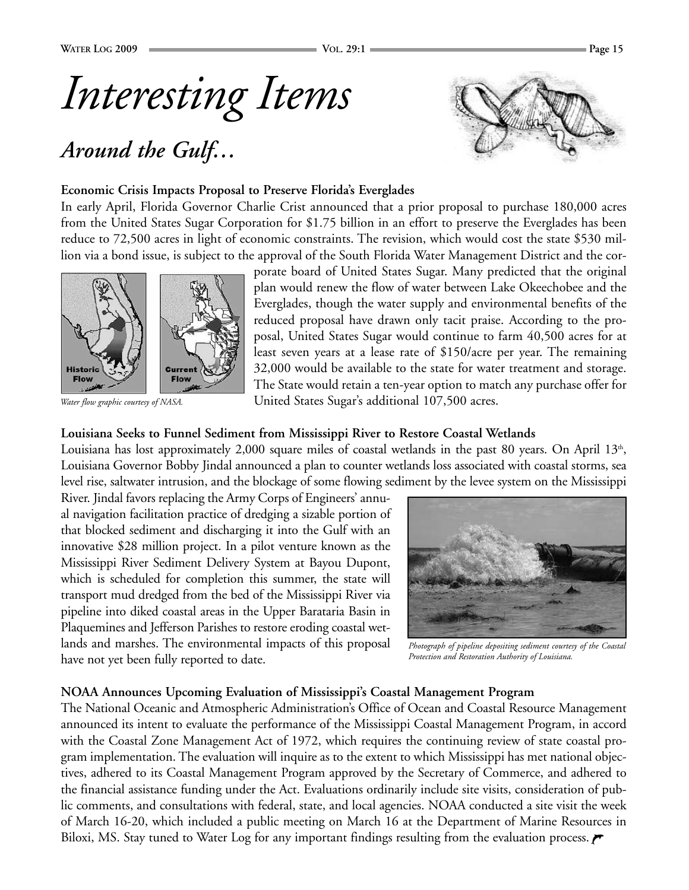# *Interesting Items*

### *Around the Gulf…*

#### **Economic Crisis Impacts Proposal to Preserve Florida's Everglades**

In early April, Florida Governor Charlie Crist announced that a prior proposal to purchase 180,000 acres from the United States Sugar Corporation for \$1.75 billion in an effort to preserve the Everglades has been reduce to 72,500 acres in light of economic constraints. The revision, which would cost the state \$530 million via a bond issue, is subject to the approval of the South Florida Water Management District and the cor-

> porate board of United States Sugar. Many predicted that the original plan would renew the flow of water between Lake Okeechobee and the Everglades, though the water supply and environmental benefits of the reduced proposal have drawn only tacit praise. According to the proposal, United States Sugar would continue to farm 40,500 acres for at least seven years at a lease rate of \$150/acre per year. The remaining 32,000 would be available to the state for water treatment and storage. The State would retain a ten-year option to match any purchase offer for United States Sugar's additional 107,500 acres.

#### **Louisiana Seeks to Funnel Sediment from Mississippi River to Restore Coastal Wetlands**

Louisiana has lost approximately 2,000 square miles of coastal wetlands in the past 80 years. On April  $13<sup>th</sup>$ , Louisiana Governor Bobby Jindal announced a plan to counter wetlands loss associated with coastal storms, sea level rise, saltwater intrusion, and the blockage of some flowing sediment by the levee system on the Mississippi

River. Jindal favors replacing the Army Corps of Engineers' annual navigation facilitation practice of dredging a sizable portion of that blocked sediment and discharging it into the Gulf with an innovative \$28 million project. In a pilot venture known as the Mississippi River Sediment Delivery System at Bayou Dupont, which is scheduled for completion this summer, the state will transport mud dredged from the bed of the Mississippi River via pipeline into diked coastal areas in the Upper Barataria Basin in Plaquemines and Jefferson Parishes to restore eroding coastal wetlands and marshes. The environmental impacts of this proposal have not yet been fully reported to date.

#### *Photograph of pipeline depositing sediment courtesy of the Coastal Protection and Restoration Authority of Louisiana.*

#### **NOAA Announces Upcoming Evaluation of Mississippi's Coastal Management Program**

The National Oceanic and Atmospheric Administration's Office of Ocean and Coastal Resource Management announced its intent to evaluate the performance of the Mississippi Coastal Management Program, in accord with the Coastal Zone Management Act of 1972, which requires the continuing review of state coastal program implementation. The evaluation will inquire as to the extent to which Mississippi has met national objectives, adhered to its Coastal Management Program approved by the Secretary of Commerce, and adhered to the financial assistance funding under the Act. Evaluations ordinarily include site visits, consideration of public comments, and consultations with federal, state, and local agencies. NOAA conducted a site visit the week of March 16-20, which included a public meeting on March 16 at the Department of Marine Resources in Biloxi, MS. Stay tuned to Water Log for any important findings resulting from the evaluation process.  $\blacktriangleright$ 



*Water flow graphic courtesy of NASA.*